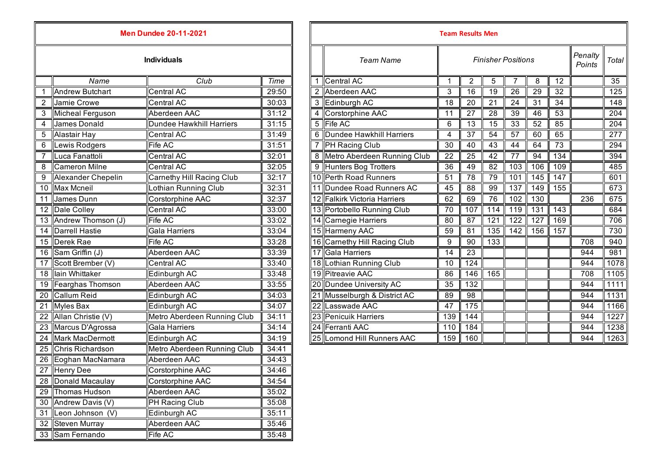|                | <b>Men Dundee 20-11-2021</b><br><b>Individuals</b> |                                 |       |   | <b>Team Results Men</b>      |                           |                 |                 |                  |                  |                  |                   |                  |
|----------------|----------------------------------------------------|---------------------------------|-------|---|------------------------------|---------------------------|-----------------|-----------------|------------------|------------------|------------------|-------------------|------------------|
|                |                                                    |                                 |       |   | <b>Team Name</b>             | <b>Finisher Positions</b> |                 |                 |                  |                  |                  | Penalty<br>Points | Total            |
|                | Name                                               | Club                            | Time  |   | Central AC                   | -1                        | 2               | 5               |                  | 8                | 12               |                   | 35               |
|                | <b>Andrew Butchart</b>                             | Central AC                      | 29:50 |   | Aberdeen AAC                 | 3                         | 16              | $\overline{19}$ | 26               | 29               | 32               |                   | 125              |
| 2              | Jamie Crowe                                        | <b>Central AC</b>               | 30:03 |   | 3 Edinburgh AC               | 18                        | 20              | $\overline{21}$ | 24               | 31               | 34               |                   | 148              |
| 3              | Micheal Ferguson                                   | Aberdeen AAC                    | 31:12 | 4 | Corstorphine AAC             | 11                        | 27              | $\overline{28}$ | 39               | 46               | 53               |                   | $\overline{204}$ |
| $\overline{4}$ | <b>James Donald</b>                                | <b>Dundee Hawkhill Harriers</b> | 31:15 | 5 | <b>Fife AC</b>               | 6                         | 13              | 15              | 33               | 52               | 85               |                   | 204              |
| 5              | Alastair Hay                                       | Central AC                      | 31:49 | 6 | Dundee Hawkhill Harriers     | $\overline{4}$            | 37              | 54              | 57               | 60               | 65               |                   | $\overline{277}$ |
| 6              | Lewis Rodgers                                      | Fife AC                         | 31:51 |   | <b>PH Racing Club</b>        | 30                        | 40              | 43              | 44               | 64               | 73               |                   | 294              |
|                | Luca Fanattoli                                     | <b>Central AC</b>               | 32:01 | 8 | Metro Aberdeen Running Club  | 22                        | 25              | 42              | 77               | 94               | $\overline{134}$ |                   | 394              |
| 8              | <b>Cameron Milne</b>                               | Central AC                      | 32:05 | 9 | Hunters Bog Trotters         | 36                        | 49              | 82              | 103              | 106              | 109              |                   | 485              |
| 9              | Alexander Chepelin                                 | Carnethy Hill Racing Club       | 32:17 |   | 10 Perth Road Runners        | 51                        | 78              | 79              | 101              | 145              | 147              |                   | 601              |
| 10             | <b>Max Mcneil</b>                                  | Lothian Running Club            | 32:31 |   | 11 Dundee Road Runners AC    | 45                        | 88              | 99              | $\overline{137}$ | 149              | 155              |                   | 673              |
| 11             | James Dunn                                         | Corstorphine AAC                | 32:37 |   | 12 Falkirk Victoria Harriers | 62                        | 69              | 76              | 102              | 130              |                  | 236               | 675              |
| 12             | Dale Colley                                        | <b>Central AC</b>               | 33:00 |   | 13 Portobello Running Club   | 70                        | 107             | 114             | 119              | $\overline{131}$ | 143              |                   | 684              |
| 13             | Andrew Thomson (J)                                 | <b>Fife AC</b>                  | 33:02 |   | 14 Carnegie Harriers         | 80                        | 87              | 121             | 122              | 127              | 169              |                   | 706              |
| 14             | <b>Darrell Hastie</b>                              | <b>Gala Harriers</b>            | 33:04 |   | 15 Harmeny AAC               | 59                        | 81              | 135             | 142              | 156              | 157              |                   | 730              |
| 15             | Derek Rae                                          | Fife AC                         | 33:28 |   | 16 Carnethy Hill Racing Club | 9                         | 90              | 133             |                  |                  |                  | 708               | 940              |
| 16             | Sam Griffin (J)                                    | Aberdeen AAC                    | 33:39 |   | 17 Gala Harriers             | 14                        | 23              |                 |                  |                  |                  | 944               | 981              |
| 17             | Scott Brember (V)                                  | <b>Central AC</b>               | 33:40 |   | 18 Lothian Running Club      | 10                        | 124             |                 |                  |                  |                  | 944               | 1078             |
| 18             | lain Whittaker                                     | Edinburgh AC                    | 33:48 |   | 19 Pitreavie AAC             | 86                        | 146             | 165             |                  |                  |                  | 708               | 1105             |
| 19             | Fearghas Thomson                                   | Aberdeen AAC                    | 33:55 |   | 20 Dundee University AC      | 35                        | 132             |                 |                  |                  |                  | 944               | 1111             |
| 20             | <b>Callum Reid</b>                                 | Edinburgh AC                    | 34:03 |   | 21 Musselburgh & District AC | 89                        | $\overline{98}$ |                 |                  |                  |                  | 944               | 1131             |
| 21             | <b>Myles Bax</b>                                   | Edinburgh AC                    | 34:07 |   | 22 Lasswade AAC              | 47                        | 175             |                 |                  |                  |                  | 944               | 1166             |
| 22             | Allan Christie (V)                                 | Metro Aberdeen Running Club     | 34:11 |   | 23 Penicuik Harriers         | 139                       | 144             |                 |                  |                  |                  | 944               | 1227             |
| 23             | Marcus D'Agrossa                                   | <b>Gala Harriers</b>            | 34:14 |   | 24 Ferranti AAC              | 110                       | 184             |                 |                  |                  |                  | 944               | 1238             |
| 24             | <b>Mark MacDermott</b>                             | Edinburgh AC                    | 34:19 |   | 25 Lomond Hill Runners AAC   | 159                       | 160             |                 |                  |                  |                  | 944               | 1263             |
| 25             | Chris Richardson                                   | Metro Aberdeen Running Club     | 34:41 |   |                              |                           |                 |                 |                  |                  |                  |                   |                  |
| 26             | Eoghan MacNamara                                   | Aberdeen AAC                    | 34:43 |   |                              |                           |                 |                 |                  |                  |                  |                   |                  |
| 27             | <b>Henry Dee</b>                                   | Corstorphine AAC                | 34:46 |   |                              |                           |                 |                 |                  |                  |                  |                   |                  |
|                | 28 Donald Macaulay                                 | Corstorphine AAC                | 34:54 |   |                              |                           |                 |                 |                  |                  |                  |                   |                  |
|                | 29 Thomas Hudson                                   | Aberdeen AAC                    | 35:02 |   |                              |                           |                 |                 |                  |                  |                  |                   |                  |
| 30             | Andrew Davis (V)                                   | PH Racing Club                  | 35:08 |   |                              |                           |                 |                 |                  |                  |                  |                   |                  |
| 31             | Leon Johnson (V)                                   | Edinburgh AC                    | 35:11 |   |                              |                           |                 |                 |                  |                  |                  |                   |                  |
|                | 32 Steven Murray                                   | Aberdeen AAC                    | 35:46 |   |                              |                           |                 |                 |                  |                  |                  |                   |                  |
|                | 33 Sam Fernando                                    | Fife AC                         | 35:48 |   |                              |                           |                 |                 |                  |                  |                  |                   |                  |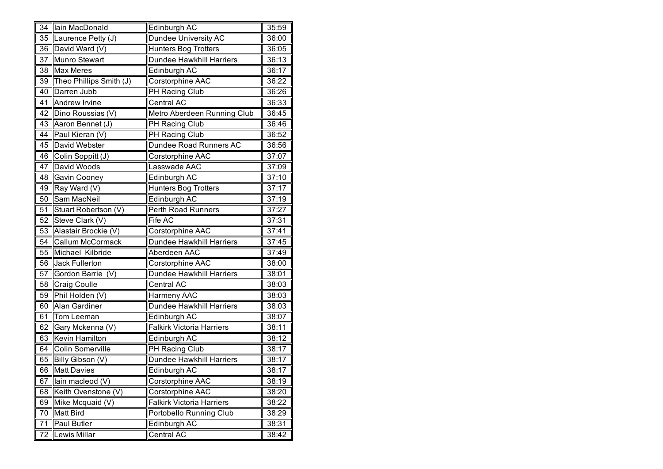| 34              | lain MacDonald          | Edinburgh AC                     | 35:59 |
|-----------------|-------------------------|----------------------------------|-------|
| 35              | Laurence Petty (J)      | <b>Dundee University AC</b>      | 36:00 |
| $\overline{36}$ | David Ward (V)          | <b>Hunters Bog Trotters</b>      | 36:05 |
| 37              | Munro Stewart           | Dundee Hawkhill Harriers         | 36:13 |
| 38              | <b>Max Meres</b>        | Edinburgh AC                     | 36:17 |
| 39              | Theo Phillips Smith (J) | Corstorphine AAC                 | 36:22 |
| 40              | Darren Jubb             | PH Racing Club                   | 36:26 |
| 41              | <b>Andrew Irvine</b>    | Central AC                       | 36:33 |
| 42              | Dino Roussias (V)       | Metro Aberdeen Running Club      | 36:45 |
| 43              | Aaron Bennet (J)        | PH Racing Club                   | 36:46 |
| 44              | Paul Kieran (V)         | PH Racing Club                   | 36:52 |
| 45              | David Webster           | Dundee Road Runners AC           | 36:56 |
| 46              | Colin Soppitt (J)       | Corstorphine AAC                 | 37:07 |
| 47              | David Woods             | Lasswade AAC                     | 37:09 |
| 48              | <b>Gavin Cooney</b>     | Edinburgh AC                     | 37:10 |
| 49              | Ray Ward (V)            | Hunters Bog Trotters             | 37:17 |
| 50              | Sam MacNeil             | Edinburgh AC                     | 37:19 |
| 51              | Stuart Robertson (V)    | Perth Road Runners               | 37:27 |
| 52              | Steve Clark (V)         | Fife AC                          | 37:31 |
| 53              | Alastair Brockie (V)    | Corstorphine AAC                 | 37:41 |
| 54              | Callum McCormack        | Dundee Hawkhill Harriers         | 37:45 |
| 55              | Michael Kilbride        | Aberdeen AAC                     | 37:49 |
| 56              | Jack Fullerton          | Corstorphine AAC                 | 38:00 |
| 57              | Gordon Barrie (V)       | Dundee Hawkhill Harriers         | 38:01 |
| 58              | Craig Coulle            | Central AC                       | 38:03 |
| 59              | Phil Holden (V)         | Harmeny AAC                      | 38:03 |
| 60              | <b>Alan Gardiner</b>    | Dundee Hawkhill Harriers         | 38:03 |
| 61              | Tom Leeman              | Edinburgh AC                     | 38:07 |
| 62              | Gary Mckenna (V)        | <b>Falkirk Victoria Harriers</b> | 38:11 |
| 63              | Kevin Hamilton          | Edinburgh AC                     | 38:12 |
| 64              | Colin Somerville        | PH Racing Club                   | 38:17 |
| 65              | Billy Gibson (V)        | <b>Dundee Hawkhill Harriers</b>  | 38:17 |
| 66              | <b>Matt Davies</b>      | Edinburgh AC                     | 38:17 |
| 67              | lain macleod (V)        | Corstorphine AAC                 | 38:19 |
| 68              | Keith Ovenstone (V)     | Corstorphine AAC                 | 38:20 |
| 69              | Mike Mcquaid (V)        | <b>Falkirk Victoria Harriers</b> | 38:22 |
| 70              | <b>Matt Bird</b>        | Portobello Running Club          | 38:29 |
| 71              | Paul Butler             | Edinburgh AC                     | 38:31 |
| 72              | Lewis Millar            | Central AC                       | 38:42 |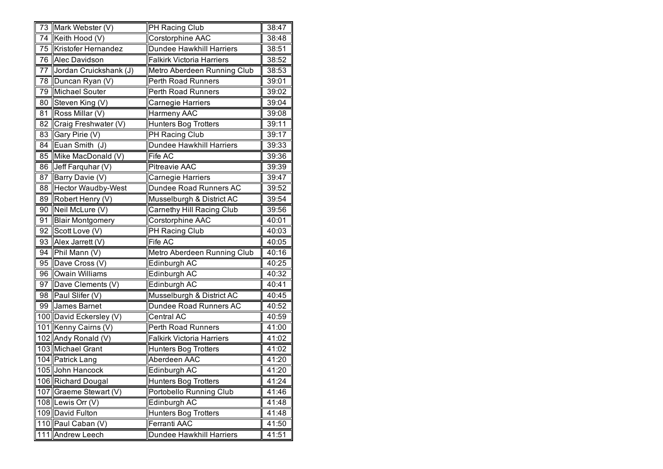| 73     | Mark Webster (V)          | <b>PH</b> Racing Club            | 38:47 |
|--------|---------------------------|----------------------------------|-------|
| 74     | Keith Hood (V)            | Corstorphine AAC                 | 38:48 |
| 75     | Kristofer Hernandez       | <b>Dundee Hawkhill Harriers</b>  | 38:51 |
| 76     | Alec Davidson             | <b>Falkirk Victoria Harriers</b> | 38:52 |
| 77     | Jordan Cruickshank (J)    | Metro Aberdeen Running Club      | 38:53 |
| 78     | Duncan Ryan (V)           | Perth Road Runners               | 39:01 |
| 79     | <b>Michael Souter</b>     | Perth Road Runners               | 39:02 |
| $80\,$ | Steven King (V)           | Carnegie Harriers                | 39:04 |
| 81     | Ross Millar (V)           | Harmeny AAC                      | 39:08 |
| 82     | Craig Freshwater (V)      | Hunters Bog Trotters             | 39:11 |
| 83     | Gary Pirie (V)            | PH Racing Club                   | 39:17 |
| 84     | Euan Smith (J)            | Dundee Hawkhill Harriers         | 39:33 |
| 85     | Mike MacDonald (V)        | Fife AC                          | 39:36 |
| 86     | Jeff Farquhar (V)         | Pitreavie AAC                    | 39:39 |
| 87     | Barry Davie (V)           | Carnegie Harriers                | 39:47 |
| 88     | <b>Hector Waudby-West</b> | Dundee Road Runners AC           | 39:52 |
| 89     | Robert Henry (V)          | Musselburgh & District AC        | 39:54 |
| 90     | Neil McLure (V)           | <b>Carnethy Hill Racing Club</b> | 39:56 |
| 91     | <b>Blair Montgomery</b>   | Corstorphine AAC                 | 40:01 |
| 92     | Scott Love (V)            | PH Racing Club                   | 40:03 |
| 93     | Alex Jarrett (V)          | Fife AC                          | 40:05 |
| 94     | Phil Mann (V)             | Metro Aberdeen Running Club      | 40:16 |
| 95     | Dave Cross (V)            | Edinburgh AC                     | 40:25 |
| 96     | <b>Owain Williams</b>     | Edinburgh AC                     | 40:32 |
| 97     | Dave Clements (V)         | Edinburgh AC                     | 40:41 |
| 98     | Paul Slifer (V)           | Musselburgh & District AC        | 40:45 |
| 99     | James Barnet              | Dundee Road Runners AC           | 40:52 |
|        | 100 David Eckersley (V)   | Central AC                       | 40:59 |
|        | 101 Kenny Cairns (V)      | Perth Road Runners               | 41:00 |
|        | 102 Andy Ronald (V)       | Falkirk Victoria Harriers        | 41:02 |
|        | 103 Michael Grant         | Hunters Bog Trotters             | 41:02 |
|        | 104 Patrick Lang          | Aberdeen AAC                     | 41:20 |
|        | 105 John Hancock          | Edinburgh AC                     | 41:20 |
|        | 106 Richard Dougal        | <b>Hunters Bog Trotters</b>      | 41:24 |
|        | 107 Graeme Stewart (V)    | Portobello Running Club          | 41:46 |
|        | 108 Lewis Orr $(V)$       | Edinburgh AC                     | 41:48 |
|        | 109 David Fulton          | Hunters Bog Trotters             | 41:48 |
|        | 110 Paul Caban (V)        | Ferranti AAC                     | 41:50 |
|        | 111 Andrew Leech          | Dundee Hawkhill Harriers         | 41:51 |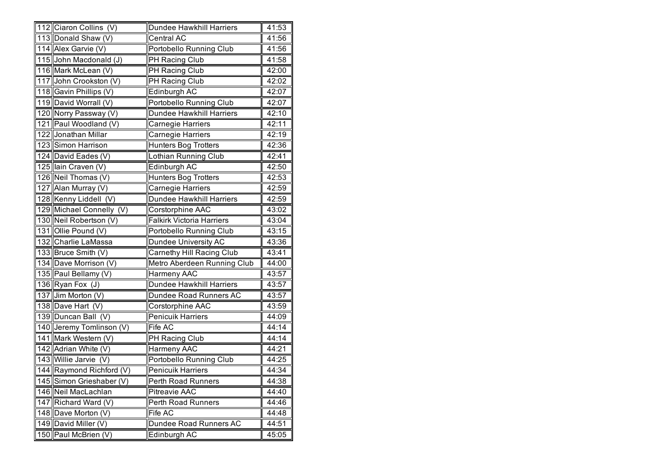| 112 Ciaron Collins (V)   | Dundee Hawkhill Harriers         | 41:53 |
|--------------------------|----------------------------------|-------|
| 113 Donald Shaw (V)      | Central AC                       | 41:56 |
| 114 Alex Garvie (V)      | <b>Portobello Running Club</b>   | 41:56 |
| 115 John Macdonald (J)   | PH Racing Club                   | 41:58 |
| 116 Mark McLean (V)      | PH Racing Club                   | 42:00 |
| 117 John Crookston (V)   | PH Racing Club                   | 42:02 |
| 118 Gavin Phillips (V)   | Edinburgh AC                     | 42:07 |
| 119 David Worrall (V)    | Portobello Running Club          | 42:07 |
| 120 Norry Passway (V)    | <b>Dundee Hawkhill Harriers</b>  | 42:10 |
| 121 Paul Woodland (V)    | Carnegie Harriers                | 42:11 |
| 122 Jonathan Millar      | Carnegie Harriers                | 42:19 |
| 123 Simon Harrison       | <b>Hunters Bog Trotters</b>      | 42:36 |
| 124 David Eades (V)      | Lothian Running Club             | 42:41 |
| 125 lain Craven (V)      | Edinburgh AC                     | 42:50 |
| 126 Neil Thomas (V)      | <b>Hunters Bog Trotters</b>      | 42:53 |
| 127 Alan Murray (V)      | Carnegie Harriers                | 42:59 |
| 128 Kenny Liddell (V)    | <b>Dundee Hawkhill Harriers</b>  | 42:59 |
| 129 Michael Connelly (V) | Corstorphine AAC                 | 43:02 |
| 130 Neil Robertson (V)   | <b>Falkirk Victoria Harriers</b> | 43:04 |
| 131 Ollie Pound (V)      | Portobello Running Club          | 43:15 |
| 132 Charlie LaMassa      | Dundee University AC             | 43:36 |
| 133 Bruce Smith (V)      | Carnethy Hill Racing Club        | 43:41 |
| 134 Dave Morrison (V)    | Metro Aberdeen Running Club      | 44:00 |
| 135 Paul Bellamy (V)     | Harmeny AAC                      | 43:57 |
| 136 Ryan Fox (J)         | <b>Dundee Hawkhill Harriers</b>  | 43:57 |
| 137 Jim Morton (V)       | Dundee Road Runners AC           | 43:57 |
| 138 Dave Hart (V)        | Corstorphine AAC                 | 43:59 |
| 139 Duncan Ball (V)      | Penicuik Harriers                | 44:09 |
| 140 Jeremy Tomlinson (V) | Fife AC                          | 44:14 |
| 141 Mark Western (V)     | PH Racing Club                   | 44:14 |
| 142 Adrian White (V)     | Harmeny AAC                      | 44:21 |
| 143 Willie Jarvie (V)    | <b>Portobello Running Club</b>   | 44:25 |
| 144 Raymond Richford (V) | <b>Penicuik Harriers</b>         | 44:34 |
| 145 Simon Grieshaber (V) | Perth Road Runners               | 44:38 |
| 146 Neil MacLachlan      | <b>Pitreavie AAC</b>             | 44:40 |
| 147 Richard Ward (V)     | Perth Road Runners               | 44:46 |
| 148 Dave Morton (V)      | Fife AC                          | 44:48 |
| 149 David Miller (V)     | Dundee Road Runners AC           | 44:51 |
| 150 Paul McBrien (V)     | Edinburgh AC                     | 45:05 |